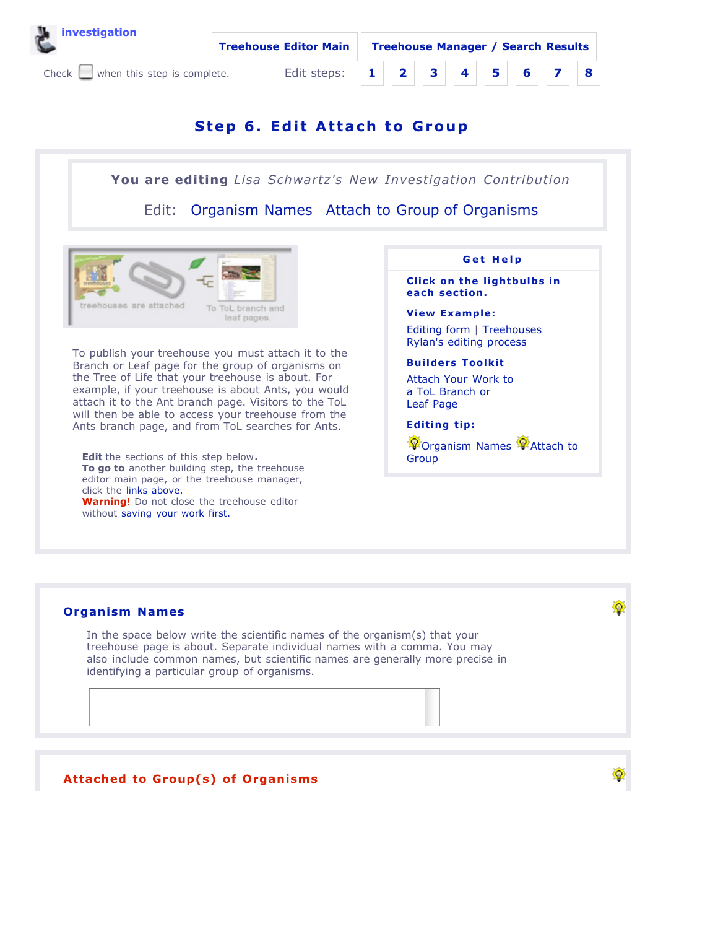



# **Step 6. Edi t At tach to Group**

**You are editing** *Lisa Schwartz's New Investigation Contribution*

Edit: Organism Names Attach to Group of Organisms



To publish your treehouse you must attach it to the Branch or Leaf page for the group of organisms on the Tree of Life that your treehouse is about. For example, if your treehouse is about Ants, you would attach it to the Ant branch page. Visitors to the ToL will then be able to access your treehouse from the Ants branch page, and from ToL searches for Ants.

**Edit** the sections of this step below**. To go to** another building step, the treehouse editor main page, or the treehouse manager, click the links above. **Warning!** Do not close the treehouse editor without saving your work first.



**Click on the lightbulbs in each section.**

### **View Example:**

Editing form | Treehouses Rylan's editing process

### **Builders Toolkit**

Attach Your Work to a ToL Branch or Leaf Page

## **Editing tip:**

**P** Organism Names **P** Attach to Group

Ω

# **Organism Names**

In the space below write the scientific names of the organism(s) that your treehouse page is about. Separate individual names with a comma. You may also include common names, but scientific names are generally more precise in identifying a particular group of organisms.

# **Attached to Group(s) of Organisms**